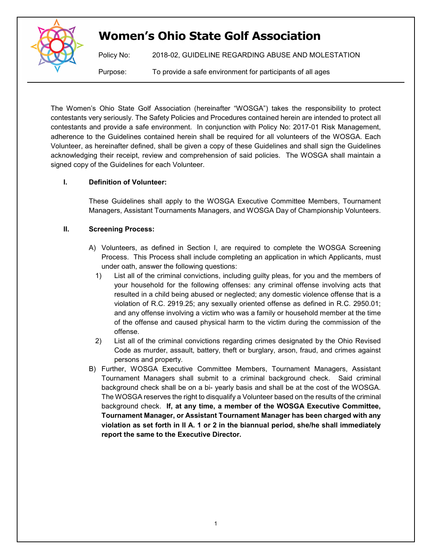# **Women's Ohio State Golf Association**

Policy No: 2018-02, GUIDELINE REGARDING ABUSE AND MOLESTATION

Purpose: To provide a safe environment for participants of all ages

The Women's Ohio State Golf Association (hereinafter "WOSGA") takes the responsibility to protect contestants very seriously. The Safety Policies and Procedures contained herein are intended to protect all contestants and provide a safe environment. In conjunction with Policy No: 2017-01 Risk Management, adherence to the Guidelines contained herein shall be required for all volunteers of the WOSGA. Each Volunteer, as hereinafter defined, shall be given a copy of these Guidelines and shall sign the Guidelines acknowledging their receipt, review and comprehension of said policies. The WOSGA shall maintain a signed copy of the Guidelines for each Volunteer.

## **I. Definition of Volunteer:**

These Guidelines shall apply to the WOSGA Executive Committee Members, Tournament Managers, Assistant Tournaments Managers, and WOSGA Day of Championship Volunteers.

## **II. Screening Process:**

- A) Volunteers, as defined in Section I, are required to complete the WOSGA Screening Process. This Process shall include completing an application in which Applicants, must under oath, answer the following questions:
	- 1) List all of the criminal convictions, including guilty pleas, for you and the members of your household for the following offenses: any criminal offense involving acts that resulted in a child being abused or neglected; any domestic violence offense that is a violation of R.C. 2919.25; any sexually oriented offense as defined in R.C. 2950.01; and any offense involving a victim who was a family or household member at the time of the offense and caused physical harm to the victim during the commission of the offense.
	- 2) List all of the criminal convictions regarding crimes designated by the Ohio Revised Code as murder, assault, battery, theft or burglary, arson, fraud, and crimes against persons and property.
- B) Further, WOSGA Executive Committee Members, Tournament Managers, Assistant Tournament Managers shall submit to a criminal background check. Said criminal background check shall be on a bi- yearly basis and shall be at the cost of the WOSGA. The WOSGA reserves the right to disqualify a Volunteer based on the results of the criminal background check. **If, at any time, a member of the WOSGA Executive Committee, Tournament Manager, or Assistant Tournament Manager has been charged with any violation as set forth in II A. 1 or 2 in the biannual period, she/he shall immediately report the same to the Executive Director.**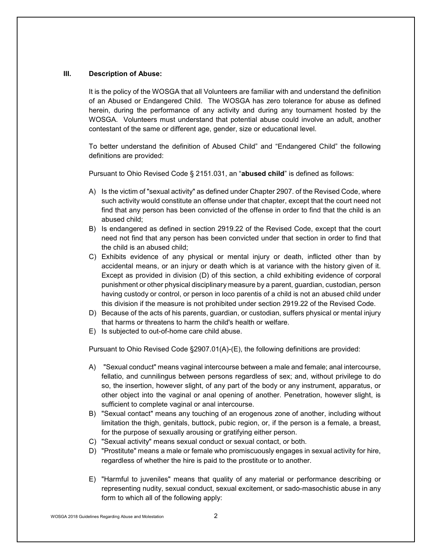## **III. Description of Abuse:**

It is the policy of the WOSGA that all Volunteers are familiar with and understand the definition of an Abused or Endangered Child. The WOSGA has zero tolerance for abuse as defined herein, during the performance of any activity and during any tournament hosted by the WOSGA. Volunteers must understand that potential abuse could involve an adult, another contestant of the same or different age, gender, size or educational level.

To better understand the definition of Abused Child" and "Endangered Child" the following definitions are provided:

Pursuant to Ohio Revised Code § 2151.031, an "**abused child**" is defined as follows:

- A) Is the victim of "sexual activity" as defined under Chapter 2907. of the Revised Code, where such activity would constitute an offense under that chapter, except that the court need not find that any person has been convicted of the offense in order to find that the child is an abused child;
- B) Is endangered as defined in section 2919.22 of the Revised Code, except that the court need not find that any person has been convicted under that section in order to find that the child is an abused child;
- C) Exhibits evidence of any physical or mental injury or death, inflicted other than by accidental means, or an injury or death which is at variance with the history given of it. Except as provided in division (D) of this section, a child exhibiting evidence of corporal punishment or other physical disciplinary measure by a parent, guardian, custodian, person having custody or control, or person in loco parentis of a child is not an abused child under this division if the measure is not prohibited under section 2919.22 of the Revised Code.
- D) Because of the acts of his parents, guardian, or custodian, suffers physical or mental injury that harms or threatens to harm the child's health or welfare.
- E) Is subjected to out-of-home care child abuse.

Pursuant to Ohio Revised Code §2907.01(A)-(E), the following definitions are provided:

- A) "Sexual conduct" means vaginal intercourse between a male and female; anal intercourse, fellatio, and cunnilingus between persons regardless of sex; and, without privilege to do so, the insertion, however slight, of any part of the body or any instrument, apparatus, or other object into the vaginal or anal opening of another. Penetration, however slight, is sufficient to complete vaginal or anal intercourse.
- B) "Sexual contact" means any touching of an erogenous zone of another, including without limitation the thigh, genitals, buttock, pubic region, or, if the person is a female, a breast, for the purpose of sexually arousing or gratifying either person.
- C) "Sexual activity" means sexual conduct or sexual contact, or both.
- D) "Prostitute" means a male or female who promiscuously engages in sexual activity for hire, regardless of whether the hire is paid to the prostitute or to another.
- E) "Harmful to juveniles" means that quality of any material or performance describing or representing nudity, sexual conduct, sexual excitement, or sado-masochistic abuse in any form to which all of the following apply: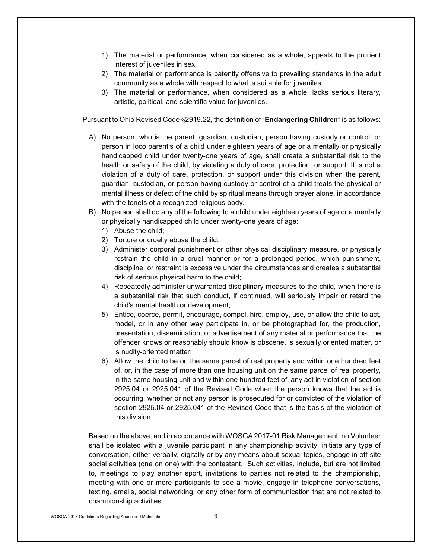- 1) The material or performance, when considered as a whole, appeals to the prurient interest of juveniles in sex.
- 2) The material or performance is patently offensive to prevailing standards in the adult community as a whole with respect to what is suitable for juveniles.
- 3) The material or performance, when considered as a whole, lacks serious literary, artistic, political, and scientific value for juveniles.

Pursuant to Ohio Revised Code §2919.22, the definition of "**Endangering Children**" is as follows:

- A) No person, who is the parent, guardian, custodian, person having custody or control, or person in loco parentis of a child under eighteen years of age or a mentally or physically handicapped child under twenty-one years of age, shall create a substantial risk to the health or safety of the child, by violating a duty of care, protection, or support. It is not a violation of a duty of care, protection, or support under this division when the parent, guardian, custodian, or person having custody or control of a child treats the physical or mental illness or defect of the child by spiritual means through prayer alone, in accordance with the tenets of a recognized religious body.
- B) No person shall do any of the following to a child under eighteen years of age or a mentally or physically handicapped child under twenty-one years of age:
	- 1) Abuse the child;
	- 2) Torture or cruelly abuse the child;
	- 3) Administer corporal punishment or other physical disciplinary measure, or physically restrain the child in a cruel manner or for a prolonged period, which punishment, discipline, or restraint is excessive under the circumstances and creates a substantial risk of serious physical harm to the child;
	- 4) Repeatedly administer unwarranted disciplinary measures to the child, when there is a substantial risk that such conduct, if continued, will seriously impair or retard the child's mental health or development;
	- 5) Entice, coerce, permit, encourage, compel, hire, employ, use, or allow the child to act, model, or in any other way participate in, or be photographed for, the production, presentation, dissemination, or advertisement of any material or performance that the offender knows or reasonably should know is obscene, is sexually oriented matter, or is nudity-oriented matter;
	- 6) Allow the child to be on the same parcel of real property and within one hundred feet of, or, in the case of more than one housing unit on the same parcel of real property, in the same housing unit and within one hundred feet of, any act in violation of section 2925.04 or 2925.041 of the Revised Code when the person knows that the act is occurring, whether or not any person is prosecuted for or convicted of the violation of section 2925.04 or 2925.041 of the Revised Code that is the basis of the violation of this division.

Based on the above, and in accordance with WOSGA 2017-01 Risk Management, no Volunteer shall be isolated with a juvenile participant in any championship activity, initiate any type of conversation, either verbally, digitally or by any means about sexual topics, engage in off-site social activities (one on one) with the contestant. Such activities, include, but are not limited to, meetings to play another sport, invitations to parties not related to the championship, meeting with one or more participants to see a movie, engage in telephone conversations, texting, emails, social networking, or any other form of communication that are not related to championship activities.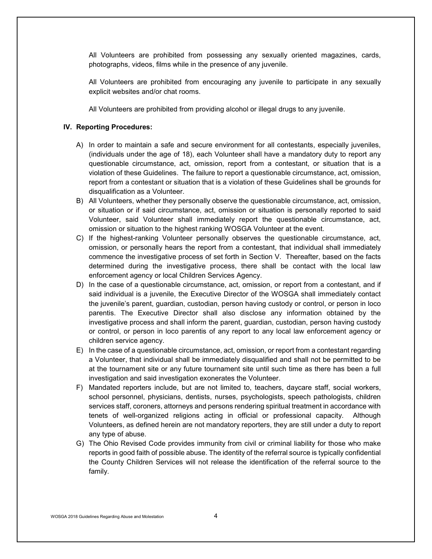All Volunteers are prohibited from possessing any sexually oriented magazines, cards, photographs, videos, films while in the presence of any juvenile.

All Volunteers are prohibited from encouraging any juvenile to participate in any sexually explicit websites and/or chat rooms.

All Volunteers are prohibited from providing alcohol or illegal drugs to any juvenile.

#### **IV. Reporting Procedures:**

- A) In order to maintain a safe and secure environment for all contestants, especially juveniles, (individuals under the age of 18), each Volunteer shall have a mandatory duty to report any questionable circumstance, act, omission, report from a contestant, or situation that is a violation of these Guidelines. The failure to report a questionable circumstance, act, omission, report from a contestant or situation that is a violation of these Guidelines shall be grounds for disqualification as a Volunteer.
- B) All Volunteers, whether they personally observe the questionable circumstance, act, omission, or situation or if said circumstance, act, omission or situation is personally reported to said Volunteer, said Volunteer shall immediately report the questionable circumstance, act, omission or situation to the highest ranking WOSGA Volunteer at the event.
- C) If the highest-ranking Volunteer personally observes the questionable circumstance, act, omission, or personally hears the report from a contestant, that individual shall immediately commence the investigative process of set forth in Section V. Thereafter, based on the facts determined during the investigative process, there shall be contact with the local law enforcement agency or local Children Services Agency.
- D) In the case of a questionable circumstance, act, omission, or report from a contestant, and if said individual is a juvenile, the Executive Director of the WOSGA shall immediately contact the juvenile's parent, guardian, custodian, person having custody or control, or person in loco parentis. The Executive Director shall also disclose any information obtained by the investigative process and shall inform the parent, guardian, custodian, person having custody or control, or person in loco parentis of any report to any local law enforcement agency or children service agency.
- E) In the case of a questionable circumstance, act, omission, or report from a contestant regarding a Volunteer, that individual shall be immediately disqualified and shall not be permitted to be at the tournament site or any future tournament site until such time as there has been a full investigation and said investigation exonerates the Volunteer.
- F) Mandated reporters include, but are not limited to, teachers, daycare staff, social workers, school personnel, physicians, dentists, nurses, psychologists, speech pathologists, children services staff, coroners, attorneys and persons rendering spiritual treatment in accordance with tenets of well-organized religions acting in official or professional capacity. Although Volunteers, as defined herein are not mandatory reporters, they are still under a duty to report any type of abuse.
- G) The Ohio Revised Code provides immunity from civil or criminal liability for those who make reports in good faith of possible abuse. The identity of the referral source is typically confidential the County Children Services will not release the identification of the referral source to the family.